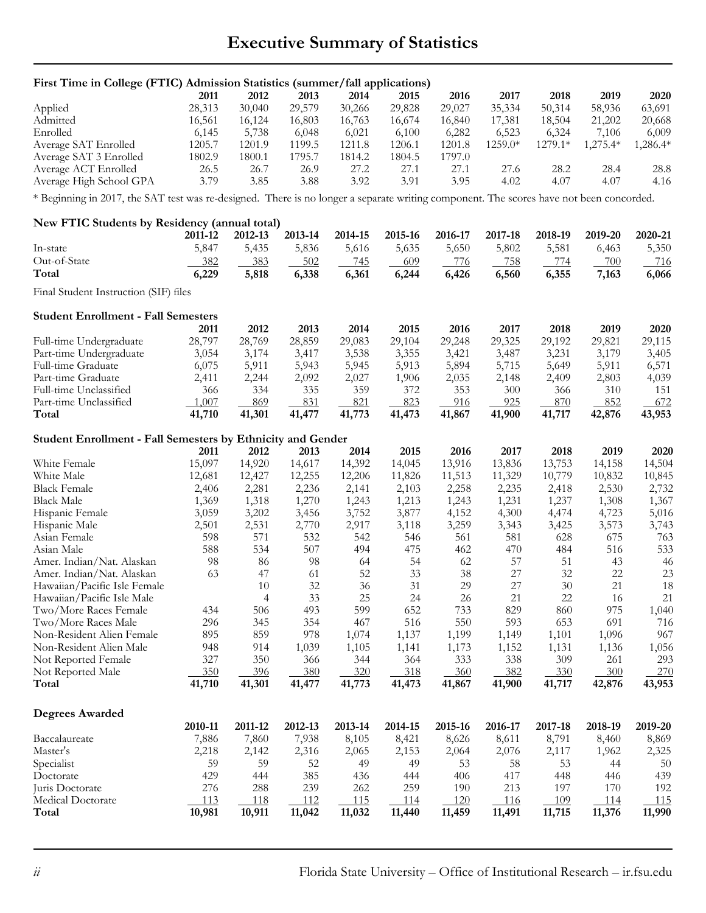## **Executive Summary of Statistics**

| First Time in College (FTIC) Admission Statistics (summer/fall applications)                                                            |                |                |         |         |         |         |         |                |          |                |
|-----------------------------------------------------------------------------------------------------------------------------------------|----------------|----------------|---------|---------|---------|---------|---------|----------------|----------|----------------|
|                                                                                                                                         | 2011           | 2012           | 2013    | 2014    | 2015    | 2016    | 2017    | 2018           | 2019     | 2020           |
| Applied                                                                                                                                 | 28,313         | 30,040         | 29,579  | 30,266  | 29,828  | 29,027  | 35,334  | 50,314         | 58,936   | 63,691         |
| Admitted                                                                                                                                | 16,561         | 16,124         | 16,803  | 16,763  | 16,674  | 16,840  | 17,381  | 18,504         | 21,202   | 20,668         |
| Enrolled                                                                                                                                | 6,145          | 5,738          | 6,048   | 6,021   | 6,100   | 6,282   | 6,523   | 6,324          | 7,106    | 6,009          |
| Average SAT Enrolled                                                                                                                    | 1205.7         | 1201.9         | 1199.5  | 1211.8  | 1206.1  | 1201.8  | 1259.0* | 1279.1*        | 1,275.4* | 1,286.4*       |
| Average SAT 3 Enrolled                                                                                                                  | 1802.9         | 1800.1         | 1795.7  | 1814.2  | 1804.5  | 1797.0  |         |                |          |                |
| Average ACT Enrolled                                                                                                                    | 26.5           | 26.7           | 26.9    | 27.2    | 27.1    | 27.1    | 27.6    | 28.2           | 28.4     | 28.8           |
| Average High School GPA                                                                                                                 | 3.79           | 3.85           | 3.88    | 3.92    | 3.91    | 3.95    | 4.02    | 4.07           | 4.07     | 4.16           |
| * Beginning in 2017, the SAT test was re-designed. There is no longer a separate writing component. The scores have not been concorded. |                |                |         |         |         |         |         |                |          |                |
| New FTIC Students by Residency (annual total)                                                                                           |                |                |         |         |         |         |         |                |          |                |
|                                                                                                                                         | 2011-12        | 2012-13        | 2013-14 | 2014-15 | 2015-16 | 2016-17 | 2017-18 | 2018-19        | 2019-20  | 2020-21        |
| In-state                                                                                                                                | 5,847          | 5,435          | 5,836   | 5,616   | 5,635   | 5,650   | 5,802   | 5,581          | 6,463    | 5,350          |
| Out-of-State                                                                                                                            | 382            | 383            | 502     | 745     | 609     | 776     | 758     | 774            | 700      | <u>716</u>     |
| Total                                                                                                                                   | 6,229          | 5,818          | 6,338   | 6,361   | 6,244   | 6,426   | 6,560   | 6,355          | 7,163    | 6,066          |
| Final Student Instruction (SIF) files                                                                                                   |                |                |         |         |         |         |         |                |          |                |
|                                                                                                                                         |                |                |         |         |         |         |         |                |          |                |
| <b>Student Enrollment - Fall Semesters</b>                                                                                              | 2011           | 2012           | 2013    | 2014    | 2015    | 2016    | 2017    | 2018           | 2019     | 2020           |
| Full-time Undergraduate                                                                                                                 | 28,797         | 28,769         | 28,859  | 29,083  | 29,104  | 29,248  | 29,325  | 29,192         | 29,821   | 29,115         |
| Part-time Undergraduate                                                                                                                 | 3,054          | 3,174          | 3,417   | 3,538   | 3,355   | 3,421   | 3,487   | 3,231          | 3,179    | 3,405          |
| Full-time Graduate                                                                                                                      | 6,075          | 5,911          | 5,943   | 5,945   | 5,913   | 5,894   | 5,715   | 5,649          | 5,911    | 6,571          |
| Part-time Graduate                                                                                                                      | 2,411          | 2,244          | 2,092   | 2,027   | 1,906   | 2,035   | 2,148   | 2,409          | 2,803    | 4,039          |
| Full-time Unclassified                                                                                                                  | 366            | 334            | 335     | 359     | 372     | 353     | 300     | 366            | 310      | 151            |
| Part-time Unclassified                                                                                                                  | 1,007          | 869            | 831     | 821     | 823     | 916     | 925     | 870            | 852      | 672            |
| Total                                                                                                                                   | 41,710         | 41,301         | 41,477  | 41,773  | 41,473  | 41,867  | 41,900  | 41,717         | 42,876   | 43,953         |
|                                                                                                                                         |                |                |         |         |         |         |         |                |          |                |
| Student Enrollment - Fall Semesters by Ethnicity and Gender                                                                             | 2011           | 2012           | 2013    | 2014    | 2015    | 2016    | 2017    | 2018           | 2019     | 2020           |
| White Female                                                                                                                            | 15,097         | 14,920         | 14,617  | 14,392  | 14,045  | 13,916  | 13,836  | 13,753         | 14,158   | 14,504         |
| White Male                                                                                                                              | 12,681         | 12,427         | 12,255  | 12,206  | 11,826  | 11,513  | 11,329  | 10,779         | 10,832   | 10,845         |
| <b>Black Female</b>                                                                                                                     |                |                | 2,236   | 2,141   | 2,103   | 2,258   | 2,235   |                | 2,530    |                |
| <b>Black Male</b>                                                                                                                       | 2,406<br>1,369 | 2,281<br>1,318 | 1,270   | 1,243   | 1,213   | 1,243   | 1,231   | 2,418<br>1,237 | 1,308    | 2,732<br>1,367 |
| Hispanic Female                                                                                                                         | 3,059          | 3,202          | 3,456   | 3,752   | 3,877   | 4,152   | 4,300   | 4,474          | 4,723    | 5,016          |
| Hispanic Male                                                                                                                           | 2,501          | 2,531          | 2,770   | 2,917   | 3,118   | 3,259   | 3,343   | 3,425          | 3,573    | 3,743          |
| Asian Female                                                                                                                            | 598            | 571            | 532     | 542     | 546     | 561     | 581     | 628            | 675      | 763            |
| Asian Male                                                                                                                              | 588            | 534            | 507     | 494     | 475     | 462     | 470     | 484            | 516      | 533            |
| Amer. Indian/Nat. Alaskan                                                                                                               | 98             | 86             | 98      | 64      | 54      | 62      | 57      | 51             | 43       | 46             |
| Amer. Indian/Nat. Alaskan                                                                                                               | 63             | 47             | 61      | 52      | 33      | 38      | 27      | 32             | 22       | 23             |
| Hawaiian/Pacific Isle Female                                                                                                            |                | 10             | $32\,$  | 36      | 31      | 29      | $27\,$  | $30\,$         | 21       | 18             |
| Hawaiian/Pacific Isle Male                                                                                                              |                | 4              | 33      | 25      | 24      | 26      | 21      | 22             | 16       | 21             |
| Two/More Races Female                                                                                                                   | 434            | 506            | 493     | 599     | 652     | 733     | 829     | 860            | 975      | 1,040          |
| Two/More Races Male                                                                                                                     | 296            | 345            | 354     | 467     | 516     | 550     | 593     | 653            | 691      | 716            |
| Non-Resident Alien Female                                                                                                               | 895            | 859            | 978     | 1,074   | 1,137   | 1,199   | 1,149   | 1,101          | 1,096    | 967            |
| Non-Resident Alien Male                                                                                                                 | 948            | 914            | 1,039   | 1,105   | 1,141   | 1,173   | 1,152   | 1,131          | 1,136    | 1,056          |
| Not Reported Female                                                                                                                     | 327            | 350            | 366     | 344     | 364     | 333     | 338     | 309            | 261      | 293            |
| Not Reported Male                                                                                                                       | 350            | 396            | 380     | 320     | 318     | 360     | 382     | 330            | 300      | 270            |
| Total                                                                                                                                   | 41,710         | 41,301         | 41,477  | 41,773  | 41,473  | 41,867  | 41,900  | 41,717         | 42,876   | 43,953         |
|                                                                                                                                         |                |                |         |         |         |         |         |                |          |                |
| <b>Degrees Awarded</b>                                                                                                                  |                |                |         |         |         |         |         |                |          |                |
|                                                                                                                                         | 2010-11        | 2011-12        | 2012-13 | 2013-14 | 2014-15 | 2015-16 | 2016-17 | 2017-18        | 2018-19  | 2019-20        |
| Baccalaureate                                                                                                                           | 7,886          | 7,860          | 7,938   | 8,105   | 8,421   | 8,626   | 8,611   | 8,791          | 8,460    | 8,869          |
| Master's                                                                                                                                | 2,218          | 2,142          | 2,316   | 2,065   | 2,153   | 2,064   | 2,076   | 2,117          | 1,962    | 2,325          |
| Specialist                                                                                                                              | 59             | 59             | 52      | 49      | 49      | 53      | 58      | 53             | 44       | 50             |
| Doctorate                                                                                                                               | 429            | 444            | 385     | 436     | 444     | 406     | 417     | 448            | 446      | 439            |
| Juris Doctorate                                                                                                                         | 276            | 288            | 239     | 262     | 259     | 190     | 213     | 197            | 170      | 192            |
| Medical Doctorate                                                                                                                       | 113            | 118            | 112     | 115     | 114     | 120     | 116     | <u> 109</u>    | 114      | <u> 115</u>    |
| Total                                                                                                                                   | 10,981         | 10,911         | 11,042  | 11,032  | 11,440  | 11,459  | 11,491  | 11,715         | 11,376   | 11,990         |